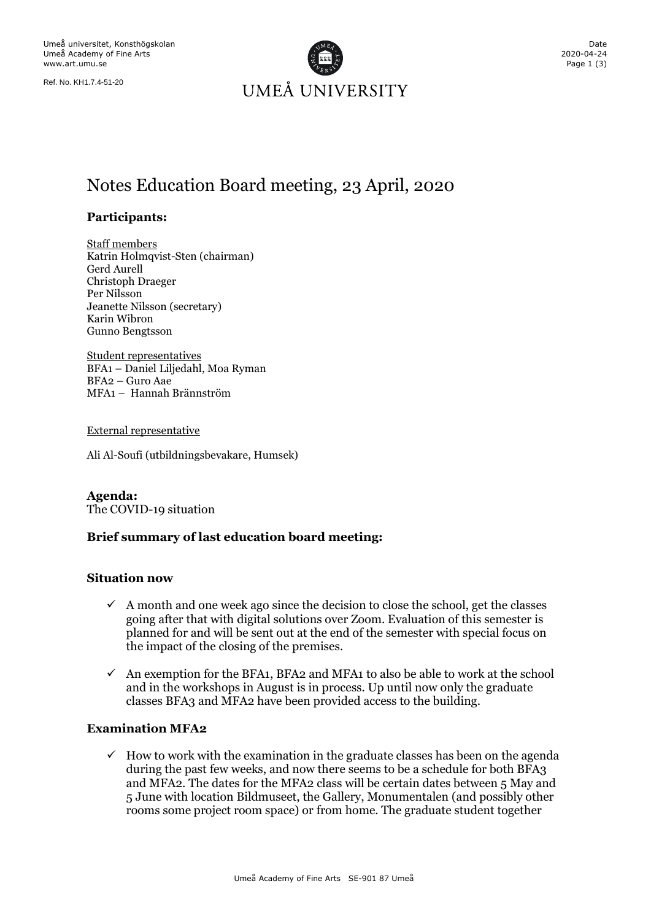Ref. No. KH1.7.4-51-20



# Notes Education Board meeting, 23 April, 2020

# **Participants:**

Staff members Katrin Holmqvist-Sten (chairman) Gerd Aurell Christoph Draeger Per Nilsson Jeanette Nilsson (secretary) Karin Wibron Gunno Bengtsson

Student representatives BFA1 – Daniel Liljedahl, Moa Ryman BFA2 – Guro Aae MFA1 – Hannah Brännström

External representative

Ali Al-Soufi (utbildningsbevakare, Humsek)

**Agenda:** The COVID-19 situation

#### **Brief summary of last education board meeting:**

#### **Situation now**

- $\checkmark$  A month and one week ago since the decision to close the school, get the classes going after that with digital solutions over Zoom. Evaluation of this semester is planned for and will be sent out at the end of the semester with special focus on the impact of the closing of the premises.
- $\checkmark$  An exemption for the BFA1, BFA2 and MFA1 to also be able to work at the school and in the workshops in August is in process. Up until now only the graduate classes BFA3 and MFA2 have been provided access to the building.

## **Examination MFA2**

 $\checkmark$  How to work with the examination in the graduate classes has been on the agenda during the past few weeks, and now there seems to be a schedule for both BFA3 and MFA2. The dates for the MFA2 class will be certain dates between 5 May and 5 June with location Bildmuseet, the Gallery, Monumentalen (and possibly other rooms some project room space) or from home. The graduate student together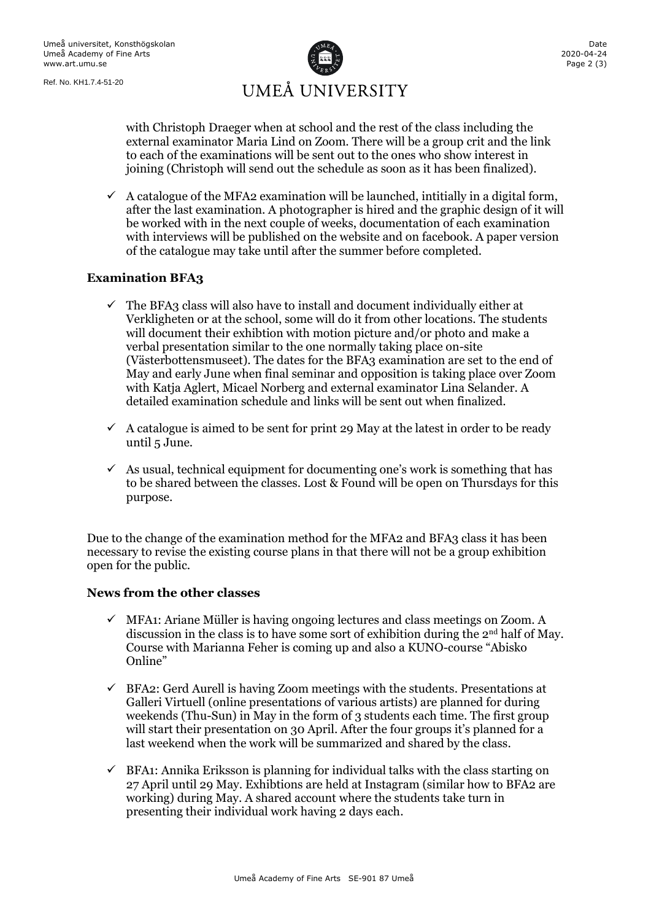Ref. No. KH1.7.4-51-20



with Christoph Draeger when at school and the rest of the class including the external examinator Maria Lind on Zoom. There will be a group crit and the link to each of the examinations will be sent out to the ones who show interest in joining (Christoph will send out the schedule as soon as it has been finalized).

 $\checkmark$  A catalogue of the MFA2 examination will be launched, intitially in a digital form, after the last examination. A photographer is hired and the graphic design of it will be worked with in the next couple of weeks, documentation of each examination with interviews will be published on the website and on facebook. A paper version of the catalogue may take until after the summer before completed.

# **Examination BFA3**

- The BFA3 class will also have to install and document individually either at Verkligheten or at the school, some will do it from other locations. The students will document their exhibtion with motion picture and/or photo and make a verbal presentation similar to the one normally taking place on-site (Västerbottensmuseet). The dates for the BFA3 examination are set to the end of May and early June when final seminar and opposition is taking place over Zoom with Katja Aglert, Micael Norberg and external examinator Lina Selander. A detailed examination schedule and links will be sent out when finalized.
- $\checkmark$  A catalogue is aimed to be sent for print 29 May at the latest in order to be ready until 5 June.
- $\checkmark$  As usual, technical equipment for documenting one's work is something that has to be shared between the classes. Lost & Found will be open on Thursdays for this purpose.

Due to the change of the examination method for the MFA2 and BFA3 class it has been necessary to revise the existing course plans in that there will not be a group exhibition open for the public.

# **News from the other classes**

- $\checkmark$  MFA1: Ariane Müller is having ongoing lectures and class meetings on Zoom. A discussion in the class is to have some sort of exhibition during the  $2<sup>nd</sup>$  half of May. Course with Marianna Feher is coming up and also a KUNO-course "Abisko Online"
- $\checkmark$  BFA2: Gerd Aurell is having Zoom meetings with the students. Presentations at Galleri Virtuell (online presentations of various artists) are planned for during weekends (Thu-Sun) in May in the form of 3 students each time. The first group will start their presentation on 30 April. After the four groups it's planned for a last weekend when the work will be summarized and shared by the class.
- $\checkmark$  BFA1: Annika Eriksson is planning for individual talks with the class starting on 27 April until 29 May. Exhibtions are held at Instagram (similar how to BFA2 are working) during May. A shared account where the students take turn in presenting their individual work having 2 days each.